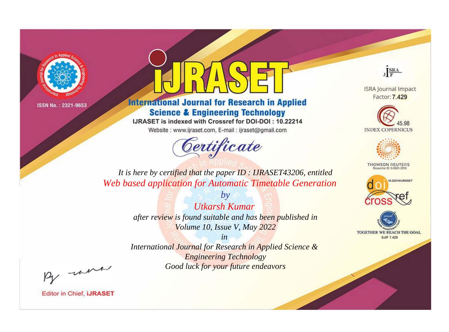



**International Journal for Research in Applied Science & Engineering Technology** 

IJRASET is indexed with Crossref for DOI-DOI: 10.22214

Website: www.ijraset.com, E-mail: ijraset@gmail.com



JERA

**ISRA Journal Impact** Factor: 7.429





**THOMSON REUTERS** 



TOGETHER WE REACH THE GOAL **SJIF 7.429** 

*It is here by certified that the paper ID : IJRASET43206, entitled Web based application for Automatic Timetable Generation*

> *Utkarsh Kumar after review is found suitable and has been published in Volume 10, Issue V, May 2022*

*by*

*in* 

*International Journal for Research in Applied Science & Engineering Technology Good luck for your future endeavors*

By morn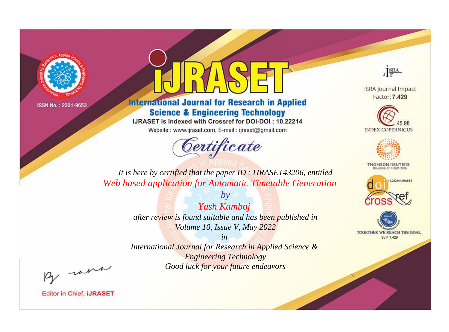



**International Journal for Research in Applied Science & Engineering Technology** 

IJRASET is indexed with Crossref for DOI-DOI: 10.22214

Website: www.ijraset.com, E-mail: ijraset@gmail.com



JERA

**ISRA Journal Impact** Factor: 7.429





**THOMSON REUTERS** 



TOGETHER WE REACH THE GOAL **SJIF 7.429** 

*It is here by certified that the paper ID : IJRASET43206, entitled Web based application for Automatic Timetable Generation*

> *by Yash Kamboj after review is found suitable and has been published in Volume 10, Issue V, May 2022*

> > *in*

*International Journal for Research in Applied Science & Engineering Technology Good luck for your future endeavors*

By morn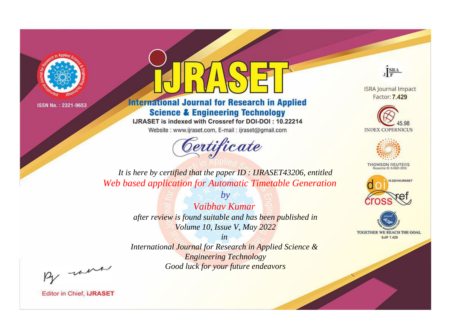



**International Journal for Research in Applied Science & Engineering Technology** 

IJRASET is indexed with Crossref for DOI-DOI: 10.22214

Website: www.ijraset.com, E-mail: ijraset@gmail.com



JERA

**ISRA Journal Impact** Factor: 7.429





**THOMSON REUTERS** 



TOGETHER WE REACH THE GOAL **SJIF 7.429** 

*It is here by certified that the paper ID : IJRASET43206, entitled Web based application for Automatic Timetable Generation*

> *Vaibhav Kumar after review is found suitable and has been published in Volume 10, Issue V, May 2022*

*by*

*in* 

*International Journal for Research in Applied Science & Engineering Technology Good luck for your future endeavors*

By morn